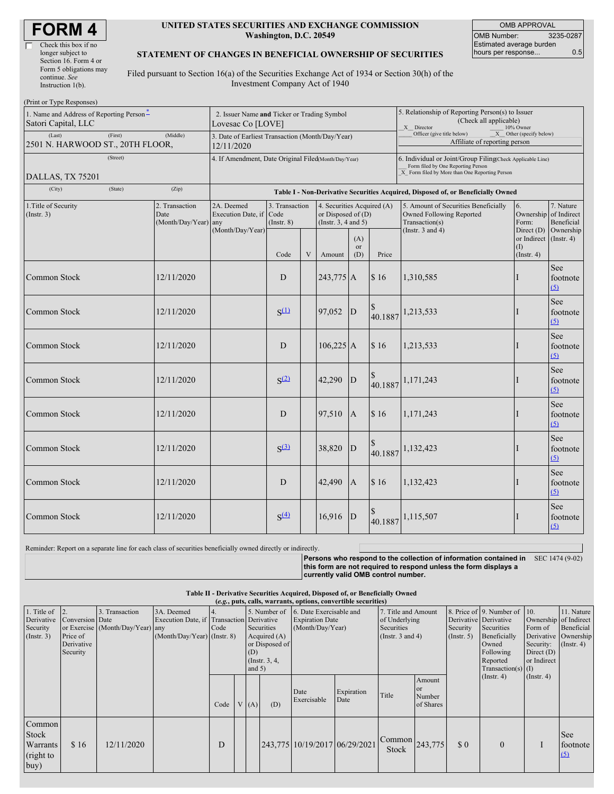| <b>FORM4</b> |
|--------------|
|--------------|

#### **UNITED STATES SECURITIES AND EXCHANGE COMMISSION Washington, D.C. 20549**

OMB APPROVAL OMB Number: 3235-0287 Estimated average burden hours per response... 6.5

### **STATEMENT OF CHANGES IN BENEFICIAL OWNERSHIP OF SECURITIES**

Filed pursuant to Section 16(a) of the Securities Exchange Act of 1934 or Section 30(h) of the Investment Company Act of 1940

| (Print or Type Responses)                                                                  |                                                                  |            |                                                           |                  |                           |                                                                                                                                                    |                                                                                                       |                                                                                  |                                                                                                             |                                                                   |                                      |
|--------------------------------------------------------------------------------------------|------------------------------------------------------------------|------------|-----------------------------------------------------------|------------------|---------------------------|----------------------------------------------------------------------------------------------------------------------------------------------------|-------------------------------------------------------------------------------------------------------|----------------------------------------------------------------------------------|-------------------------------------------------------------------------------------------------------------|-------------------------------------------------------------------|--------------------------------------|
| 1. Name and Address of Reporting Person*<br>Satori Capital, LLC                            | 2. Issuer Name and Ticker or Trading Symbol<br>Lovesac Co [LOVE] |            |                                                           |                  |                           |                                                                                                                                                    | 5. Relationship of Reporting Person(s) to Issuer<br>(Check all applicable)<br>X Director<br>10% Owner |                                                                                  |                                                                                                             |                                                                   |                                      |
| (Last)<br>(First)<br>2501 N. HARWOOD ST., 20TH FLOOR,                                      | 3. Date of Earliest Transaction (Month/Day/Year)<br>12/11/2020   |            |                                                           |                  |                           | $X$ Other (specify below)<br>Officer (give title below)<br>Affiliate of reporting person                                                           |                                                                                                       |                                                                                  |                                                                                                             |                                                                   |                                      |
| (Street)<br>DALLAS, TX 75201                                                               | 4. If Amendment, Date Original Filed(Month/Day/Year)             |            |                                                           |                  |                           | 6. Individual or Joint/Group Filing Check Applicable Line)<br>Form filed by One Reporting Person<br>X Form filed by More than One Reporting Person |                                                                                                       |                                                                                  |                                                                                                             |                                                                   |                                      |
| (City)<br>(State)                                                                          | (Zip)                                                            |            |                                                           |                  |                           |                                                                                                                                                    |                                                                                                       | Table I - Non-Derivative Securities Acquired, Disposed of, or Beneficially Owned |                                                                                                             |                                                                   |                                      |
| 1. Title of Security<br>2. Transaction<br>$($ Instr. 3 $)$<br>Date<br>(Month/Day/Year) any |                                                                  |            | 2A. Deemed<br>Execution Date, if Code<br>(Month/Day/Year) | $($ Instr. $8)$  | 3. Transaction            |                                                                                                                                                    | 4. Securities Acquired (A)<br>or Disposed of $(D)$<br>(Instr. $3, 4$ and $5$ )                        |                                                                                  | 5. Amount of Securities Beneficially<br>Owned Following Reported<br>Transaction(s)<br>(Instr. $3$ and $4$ ) | 6.<br>Ownership of Indirect<br>Form:                              | 7. Nature<br>Beneficial<br>Ownership |
|                                                                                            |                                                                  |            |                                                           | Code             | $\ensuremath{\mathbf{V}}$ | Amount                                                                                                                                             | (A)<br>or<br>(D)                                                                                      | Price                                                                            |                                                                                                             | Direct $(D)$<br>or Indirect (Instr. 4)<br>(1)<br>$($ Instr. 4 $)$ |                                      |
| Common Stock                                                                               |                                                                  | 12/11/2020 |                                                           | D                |                           | 243,775 A                                                                                                                                          |                                                                                                       | \$16                                                                             | 1,310,585                                                                                                   | T                                                                 | See<br>footnote<br>(5)               |
| <b>Common Stock</b>                                                                        |                                                                  | 12/11/2020 |                                                           | $S^{(1)}$        |                           | 97,052                                                                                                                                             | $\mathbf{D}$                                                                                          | 40.1887                                                                          | 1,213,533                                                                                                   |                                                                   | See<br>footnote<br>(5)               |
| <b>Common Stock</b>                                                                        |                                                                  | 12/11/2020 |                                                           | D                |                           | $106,225$ A                                                                                                                                        |                                                                                                       | \$16                                                                             | 1,213,533                                                                                                   |                                                                   | See<br>footnote<br>(5)               |
| Common Stock                                                                               |                                                                  | 12/11/2020 |                                                           | S <sup>(2)</sup> |                           | 42,290                                                                                                                                             | ${\bf D}$                                                                                             | 40.1887                                                                          | 1,171,243                                                                                                   | П                                                                 | See<br>footnote<br>(5)               |
| <b>Common Stock</b>                                                                        |                                                                  | 12/11/2020 |                                                           | D                |                           | 97,510                                                                                                                                             | $\mathbf{A}$                                                                                          | \$16                                                                             | 1,171,243                                                                                                   | н.                                                                | See<br>footnote<br>(5)               |
| Common Stock                                                                               |                                                                  | 12/11/2020 |                                                           | S <sup>(3)</sup> |                           | 38,820                                                                                                                                             | $\mathbf{D}$                                                                                          | 40.1887                                                                          | 1,132,423                                                                                                   |                                                                   | See<br>footnote<br>(5)               |
| <b>Common Stock</b>                                                                        |                                                                  | 12/11/2020 |                                                           | D                |                           | 42,490                                                                                                                                             | A                                                                                                     | \$16                                                                             | 1,132,423                                                                                                   | П                                                                 | See<br>footnote<br>(5)               |
| Common Stock                                                                               |                                                                  | 12/11/2020 |                                                           | S <sup>(4)</sup> |                           | 16,916                                                                                                                                             | $\mathbf D$                                                                                           | 40.1887                                                                          | 1,115,507                                                                                                   |                                                                   | See<br>footnote<br>(5)               |

Reminder: Report on a separate line for each class of securities beneficially owned directly or indirectly.

**Persons who respond to the collection of information contained in** SEC 1474 (9-02) **this form are not required to respond unless the form displays a currently valid OMB control number.**

#### **Table II - Derivative Securities Acquired, Disposed of, or Beneficially Owned (***e.g.***, puts, calls, warrants, options, convertible securities)**

| 1. Title of<br>Derivative<br>Security<br>$($ Instr. 3 $)$ | Conversion Date<br>Price of<br>Derivative<br>Security | 3. Transaction<br>or Exercise (Month/Day/Year) any | 3A. Deemed<br>Execution Date, if Transaction Derivative<br>(Month/Day/Year) (Instr. 8) | 4.<br>Code | 5. Number of<br>Securities<br>Acquired $(A)$<br>or Disposed of<br>(D)<br>(Instr. 3, 4,<br>and $5)$ |     | 6. Date Exercisable and<br><b>Expiration Date</b><br>(Month/Day/Year) |                    | 7. Title and Amount<br>of Underlying<br>Securities<br>(Instr. $3$ and $4$ ) |                                                | Security<br>$($ Instr. 5 $)$ | 8. Price of 9. Number of<br>Derivative Derivative<br>Securities<br>Beneficially<br>Owned<br>Following<br>Reported<br>$Transaction(s)$ (I) | 10.<br>Form of<br>Security:<br>Direct $(D)$<br>or Indirect | 11. Nature<br>Ownership of Indirect<br>Beneficial<br>Derivative Ownership<br>$($ Instr. 4 $)$ |
|-----------------------------------------------------------|-------------------------------------------------------|----------------------------------------------------|----------------------------------------------------------------------------------------|------------|----------------------------------------------------------------------------------------------------|-----|-----------------------------------------------------------------------|--------------------|-----------------------------------------------------------------------------|------------------------------------------------|------------------------------|-------------------------------------------------------------------------------------------------------------------------------------------|------------------------------------------------------------|-----------------------------------------------------------------------------------------------|
|                                                           |                                                       |                                                    |                                                                                        | Code       | V(A)                                                                                               | (D) | Date<br>Exercisable                                                   | Expiration<br>Date | Title                                                                       | Amount<br><sub>or</sub><br>Number<br>of Shares |                              | (Insert. 4)                                                                                                                               | $($ Instr. 4 $)$                                           |                                                                                               |
| Common<br>Stock<br>Warrants<br>(right to<br>buy)          | \$16                                                  | 12/11/2020                                         |                                                                                        | D          |                                                                                                    |     | 243,775 10/19/2017 06/29/2021                                         |                    | $1^{\text{Common}}$ 243,775<br>Stock                                        |                                                | \$0                          | $\Omega$                                                                                                                                  |                                                            | See<br>footnote<br>(5)                                                                        |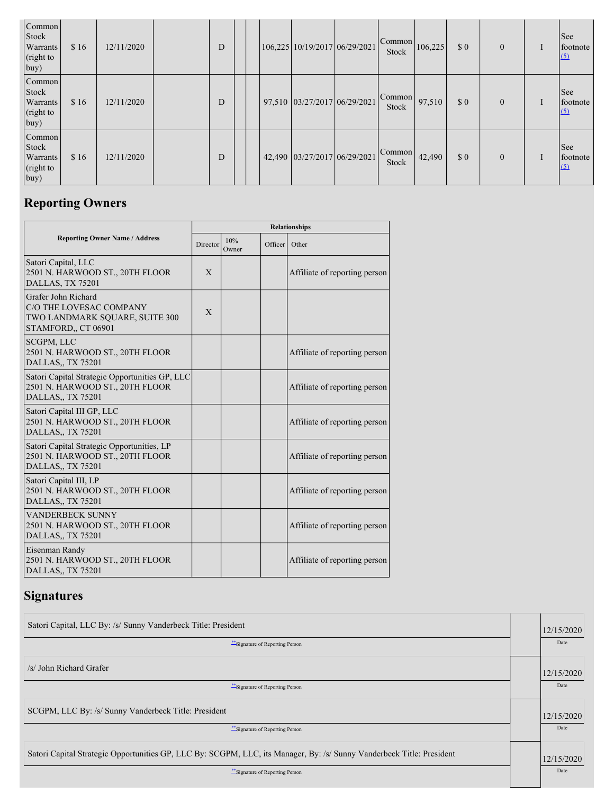| Common<br>Stock<br>Warrants<br>(right to<br>buy)        | \$16 | 12/11/2020 | D |  | 106,225 10/19/2017 06/29/2021 | Common<br>Stock | 106,225 | \$0 | $\mathbf{0}$ | See<br>footnote<br>(5)        |
|---------------------------------------------------------|------|------------|---|--|-------------------------------|-----------------|---------|-----|--------------|-------------------------------|
| Common<br><b>Stock</b><br>Warrants<br>(right to<br>buy) | \$16 | 12/11/2020 | D |  | 97,510 03/27/2017 06/29/2021  | Common<br>Stock | 97,510  | \$0 | $\mathbf{0}$ | See<br>footnote<br>(5)        |
| Common<br>Stock<br>Warrants<br>(right to<br>buy)        | \$16 | 12/11/2020 | D |  | 42,490 03/27/2017 06/29/2021  | Common<br>Stock | 42,490  | \$0 | $\mathbf{0}$ | <b>See</b><br>footnote<br>(5) |

# **Reporting Owners**

|                                                                                                           | <b>Relationships</b> |                          |                      |                               |  |  |  |  |  |
|-----------------------------------------------------------------------------------------------------------|----------------------|--------------------------|----------------------|-------------------------------|--|--|--|--|--|
| <b>Reporting Owner Name / Address</b>                                                                     |                      | 10%<br>Director<br>Owner | Officer <sup>1</sup> | Other                         |  |  |  |  |  |
| Satori Capital, LLC<br>2501 N. HARWOOD ST., 20TH FLOOR<br>DALLAS, TX 75201                                | X                    |                          |                      | Affiliate of reporting person |  |  |  |  |  |
| Grafer John Richard<br>C/O THE LOVESAC COMPANY<br>TWO LANDMARK SQUARE, SUITE 300<br>STAMFORD,, CT 06901   | $\mathbf{x}$         |                          |                      |                               |  |  |  |  |  |
| SCGPM, LLC<br>2501 N. HARWOOD ST., 20TH FLOOR<br>DALLAS,, TX 75201                                        |                      |                          |                      | Affiliate of reporting person |  |  |  |  |  |
| Satori Capital Strategic Opportunities GP, LLC<br>2501 N. HARWOOD ST., 20TH FLOOR<br>DALLAS,, TX 75201    |                      |                          |                      | Affiliate of reporting person |  |  |  |  |  |
| Satori Capital III GP, LLC<br>2501 N. HARWOOD ST., 20TH FLOOR<br><b>DALLAS., TX 75201</b>                 |                      |                          |                      | Affiliate of reporting person |  |  |  |  |  |
| Satori Capital Strategic Opportunities, LP<br>2501 N. HARWOOD ST., 20TH FLOOR<br><b>DALLAS., TX 75201</b> |                      |                          |                      | Affiliate of reporting person |  |  |  |  |  |
| Satori Capital III, LP<br>2501 N. HARWOOD ST., 20TH FLOOR<br>DALLAS., TX 75201                            |                      |                          |                      | Affiliate of reporting person |  |  |  |  |  |
| <b>VANDERBECK SUNNY</b><br>2501 N. HARWOOD ST., 20TH FLOOR<br>DALLAS., TX 75201                           |                      |                          |                      | Affiliate of reporting person |  |  |  |  |  |
| Eisenman Randy<br>2501 N. HARWOOD ST., 20TH FLOOR<br>DALLAS,, TX 75201                                    |                      |                          |                      | Affiliate of reporting person |  |  |  |  |  |

## **Signatures**

| Satori Capital, LLC By: /s/ Sunny Vanderbeck Title: President                                                         |  |            |  |  |  |  |  |  |
|-----------------------------------------------------------------------------------------------------------------------|--|------------|--|--|--|--|--|--|
| "Signature of Reporting Person"                                                                                       |  |            |  |  |  |  |  |  |
| /s/ John Richard Grafer                                                                                               |  | 12/15/2020 |  |  |  |  |  |  |
| "Signature of Reporting Person                                                                                        |  |            |  |  |  |  |  |  |
| SCGPM, LLC By: /s/ Sunny Vanderbeck Title: President                                                                  |  |            |  |  |  |  |  |  |
| "Signature of Reporting Person"                                                                                       |  | Date       |  |  |  |  |  |  |
| Satori Capital Strategic Opportunities GP, LLC By: SCGPM, LLC, its Manager, By: /s/ Sunny Vanderbeck Title: President |  |            |  |  |  |  |  |  |
| ** Signature of Reporting Person                                                                                      |  | Date       |  |  |  |  |  |  |